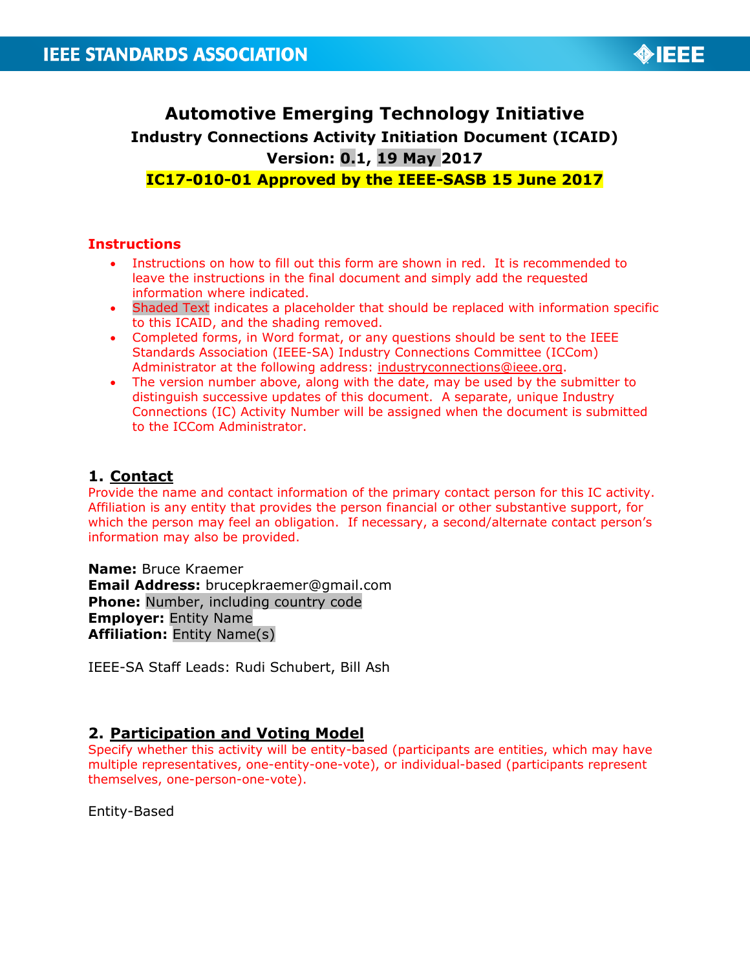

# **Automotive Emerging Technology Initiative Industry Connections Activity Initiation Document (ICAID) Version: 0.1, 19 May 2017**

## **IC17-010-01 Approved by the IEEE-SASB 15 June 2017**

#### **Instructions**

- Instructions on how to fill out this form are shown in red. It is recommended to leave the instructions in the final document and simply add the requested information where indicated.
- Shaded Text indicates a placeholder that should be replaced with information specific to this ICAID, and the shading removed.
- Completed forms, in Word format, or any questions should be sent to the IEEE Standards Association (IEEE-SA) Industry Connections Committee (ICCom) Administrator at the following address: [industryconnections@ieee.org.](mailto:industryconnections@ieee.org)
- The version number above, along with the date, may be used by the submitter to distinguish successive updates of this document. A separate, unique Industry Connections (IC) Activity Number will be assigned when the document is submitted to the ICCom Administrator.

## **1. Contact**

Provide the name and contact information of the primary contact person for this IC activity. Affiliation is any entity that provides the person financial or other substantive support, for which the person may feel an obligation. If necessary, a second/alternate contact person's information may also be provided.

**Name:** Bruce Kraemer **Email Address:** brucepkraemer@gmail.com **Phone:** Number, including country code **Employer:** Entity Name **Affiliation:** Entity Name(s)

IEEE-SA Staff Leads: Rudi Schubert, Bill Ash

## **2. Participation and Voting Model**

Specify whether this activity will be entity-based (participants are entities, which may have multiple representatives, one-entity-one-vote), or individual-based (participants represent themselves, one-person-one-vote).

Entity-Based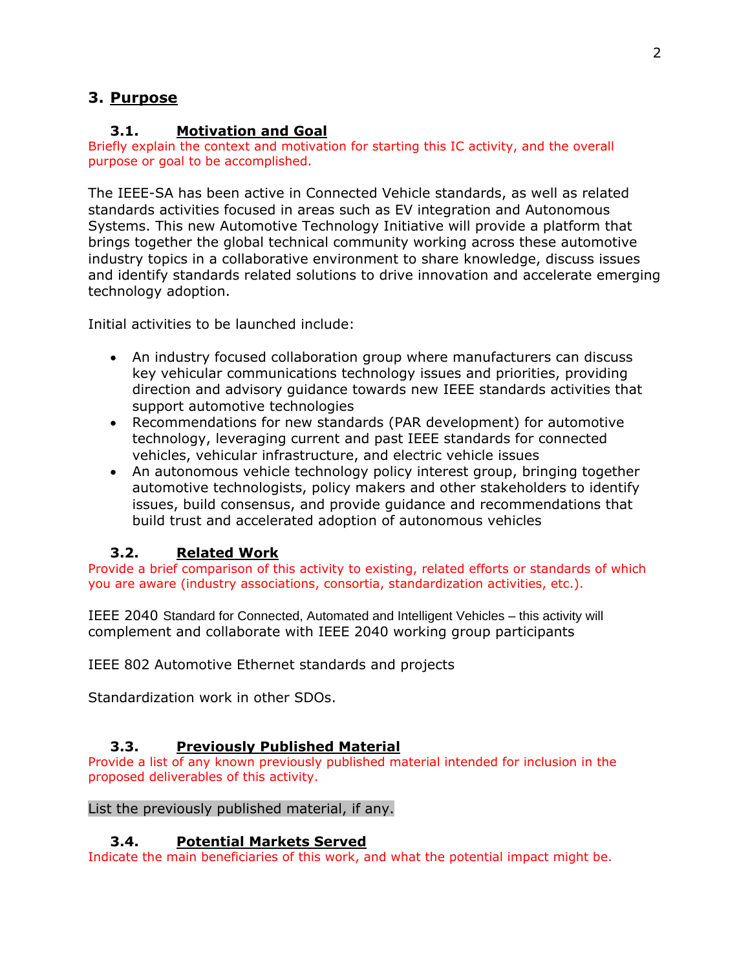# **3. Purpose**

## **3.1. Motivation and Goal**

Briefly explain the context and motivation for starting this IC activity, and the overall purpose or goal to be accomplished.

The IEEE-SA has been active in Connected Vehicle standards, as well as related standards activities focused in areas such as EV integration and Autonomous Systems. This new Automotive Technology Initiative will provide a platform that brings together the global technical community working across these automotive industry topics in a collaborative environment to share knowledge, discuss issues and identify standards related solutions to drive innovation and accelerate emerging technology adoption.

Initial activities to be launched include:

- An industry focused collaboration group where manufacturers can discuss key vehicular communications technology issues and priorities, providing direction and advisory guidance towards new IEEE standards activities that support automotive technologies
- Recommendations for new standards (PAR development) for automotive technology, leveraging current and past IEEE standards for connected vehicles, vehicular infrastructure, and electric vehicle issues
- An autonomous vehicle technology policy interest group, bringing together automotive technologists, policy makers and other stakeholders to identify issues, build consensus, and provide guidance and recommendations that build trust and accelerated adoption of autonomous vehicles

## **3.2. Related Work**

Provide a brief comparison of this activity to existing, related efforts or standards of which you are aware (industry associations, consortia, standardization activities, etc.).

IEEE 2040 Standard for Connected, Automated and Intelligent Vehicles – this activity will complement and collaborate with IEEE 2040 working group participants

IEEE 802 Automotive Ethernet standards and projects

Standardization work in other SDOs.

## **3.3. Previously Published Material**

Provide a list of any known previously published material intended for inclusion in the proposed deliverables of this activity.

#### List the previously published material, if any.

## **3.4. Potential Markets Served**

Indicate the main beneficiaries of this work, and what the potential impact might be.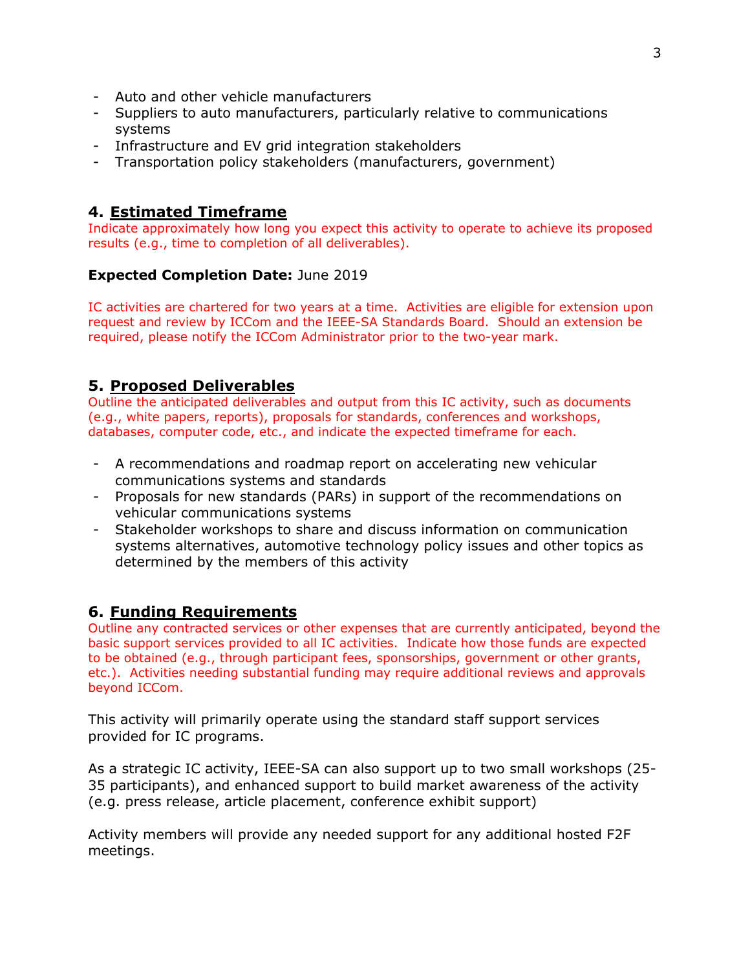- Auto and other vehicle manufacturers
- Suppliers to auto manufacturers, particularly relative to communications systems
- Infrastructure and EV grid integration stakeholders
- Transportation policy stakeholders (manufacturers, government)

## **4. Estimated Timeframe**

Indicate approximately how long you expect this activity to operate to achieve its proposed results (e.g., time to completion of all deliverables).

#### **Expected Completion Date:** June 2019

IC activities are chartered for two years at a time. Activities are eligible for extension upon request and review by ICCom and the IEEE-SA Standards Board. Should an extension be required, please notify the ICCom Administrator prior to the two-year mark.

### **5. Proposed Deliverables**

Outline the anticipated deliverables and output from this IC activity, such as documents (e.g., white papers, reports), proposals for standards, conferences and workshops, databases, computer code, etc., and indicate the expected timeframe for each.

- A recommendations and roadmap report on accelerating new vehicular communications systems and standards
- Proposals for new standards (PARs) in support of the recommendations on vehicular communications systems
- Stakeholder workshops to share and discuss information on communication systems alternatives, automotive technology policy issues and other topics as determined by the members of this activity

#### **6. Funding Requirements**

Outline any contracted services or other expenses that are currently anticipated, beyond the basic support services provided to all IC activities. Indicate how those funds are expected to be obtained (e.g., through participant fees, sponsorships, government or other grants, etc.). Activities needing substantial funding may require additional reviews and approvals beyond ICCom.

This activity will primarily operate using the standard staff support services provided for IC programs.

As a strategic IC activity, IEEE-SA can also support up to two small workshops (25- 35 participants), and enhanced support to build market awareness of the activity (e.g. press release, article placement, conference exhibit support)

Activity members will provide any needed support for any additional hosted F2F meetings.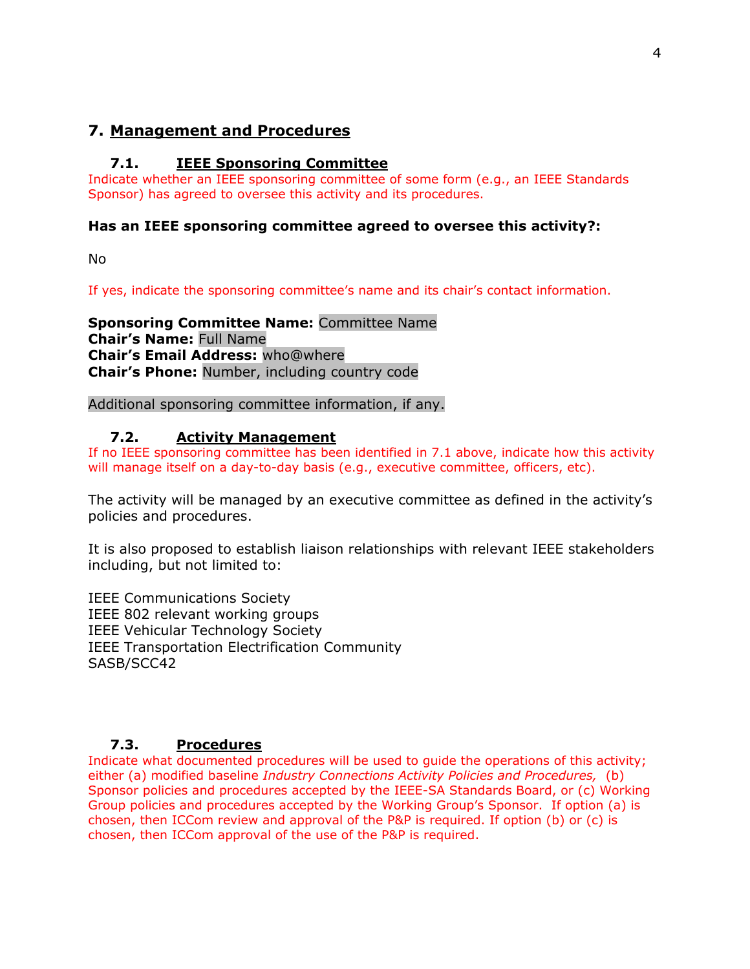## **7. Management and Procedures**

#### **7.1. IEEE Sponsoring Committee**

Indicate whether an IEEE sponsoring committee of some form (e.g., an IEEE Standards Sponsor) has agreed to oversee this activity and its procedures.

#### **Has an IEEE sponsoring committee agreed to oversee this activity?:**

No

If yes, indicate the sponsoring committee's name and its chair's contact information.

**Sponsoring Committee Name:** Committee Name **Chair's Name:** Full Name **Chair's Email Address:** who@where **Chair's Phone:** Number, including country code

Additional sponsoring committee information, if any.

#### **7.2. Activity Management**

If no IEEE sponsoring committee has been identified in 7.1 above, indicate how this activity will manage itself on a day-to-day basis (e.g., executive committee, officers, etc).

The activity will be managed by an executive committee as defined in the activity's policies and procedures.

It is also proposed to establish liaison relationships with relevant IEEE stakeholders including, but not limited to:

IEEE Communications Society IEEE 802 relevant working groups IEEE Vehicular Technology Society IEEE Transportation Electrification Community SASB/SCC42

#### **7.3. Procedures**

Indicate what documented procedures will be used to guide the operations of this activity; either (a) modified baseline *Industry Connections Activity Policies and Procedures,* (b) Sponsor policies and procedures accepted by the IEEE-SA Standards Board, or (c) Working Group policies and procedures accepted by the Working Group's Sponsor. If option (a) is chosen, then ICCom review and approval of the P&P is required. If option (b) or (c) is chosen, then ICCom approval of the use of the P&P is required.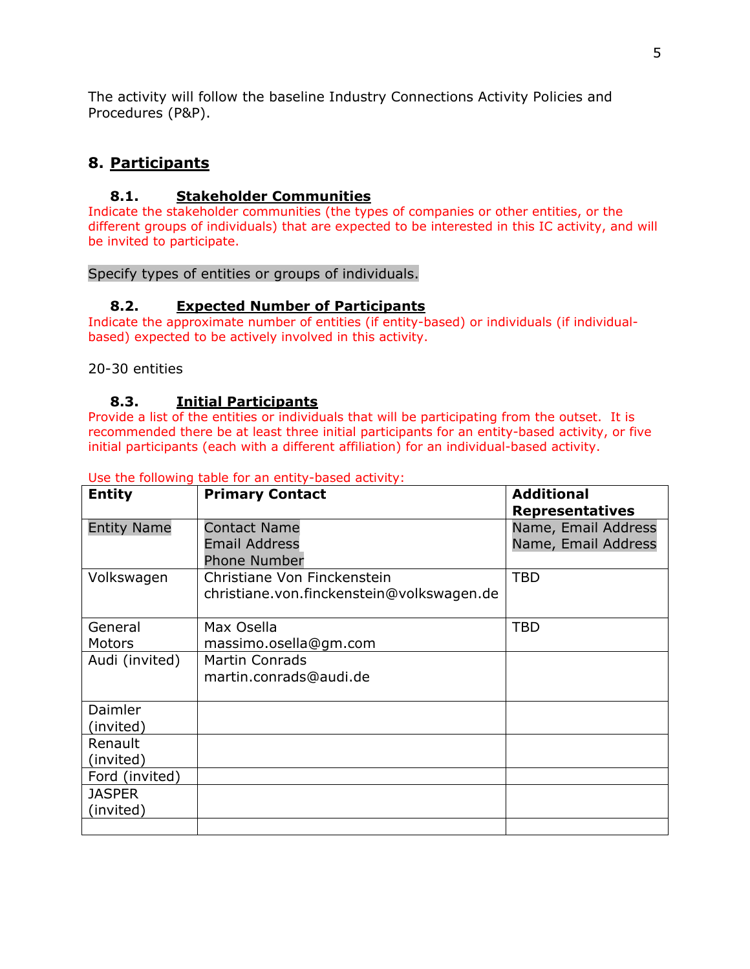The activity will follow the baseline Industry Connections Activity Policies and Procedures (P&P).

# **8. Participants**

## **8.1. Stakeholder Communities**

Indicate the stakeholder communities (the types of companies or other entities, or the different groups of individuals) that are expected to be interested in this IC activity, and will be invited to participate.

#### Specify types of entities or groups of individuals.

#### **8.2. Expected Number of Participants**

Indicate the approximate number of entities (if entity-based) or individuals (if individualbased) expected to be actively involved in this activity.

#### 20-30 entities

#### **8.3. Initial Participants**

Provide a list of the entities or individuals that will be participating from the outset. It is recommended there be at least three initial participants for an entity-based activity, or five initial participants (each with a different affiliation) for an individual-based activity.

| <b>Entity</b>      | <b>Primary Contact</b>                      | <b>Additional</b><br><b>Representatives</b> |
|--------------------|---------------------------------------------|---------------------------------------------|
| <b>Entity Name</b> | <b>Contact Name</b>                         | Name, Email Address                         |
|                    | <b>Email Address</b><br><b>Phone Number</b> | Name, Email Address                         |
| Volkswagen         | Christiane Von Finckenstein                 | <b>TBD</b>                                  |
|                    | christiane.von.finckenstein@volkswagen.de   |                                             |
| General            | Max Osella                                  | <b>TBD</b>                                  |
| <b>Motors</b>      | massimo.osella@gm.com                       |                                             |
| Audi (invited)     | <b>Martin Conrads</b>                       |                                             |
|                    | martin.conrads@audi.de                      |                                             |
| Daimler            |                                             |                                             |
| (invited)          |                                             |                                             |
| Renault            |                                             |                                             |
| (invited)          |                                             |                                             |
| Ford (invited)     |                                             |                                             |
| <b>JASPER</b>      |                                             |                                             |
| (invited)          |                                             |                                             |
|                    |                                             |                                             |

Use the following table for an entity-based activity: